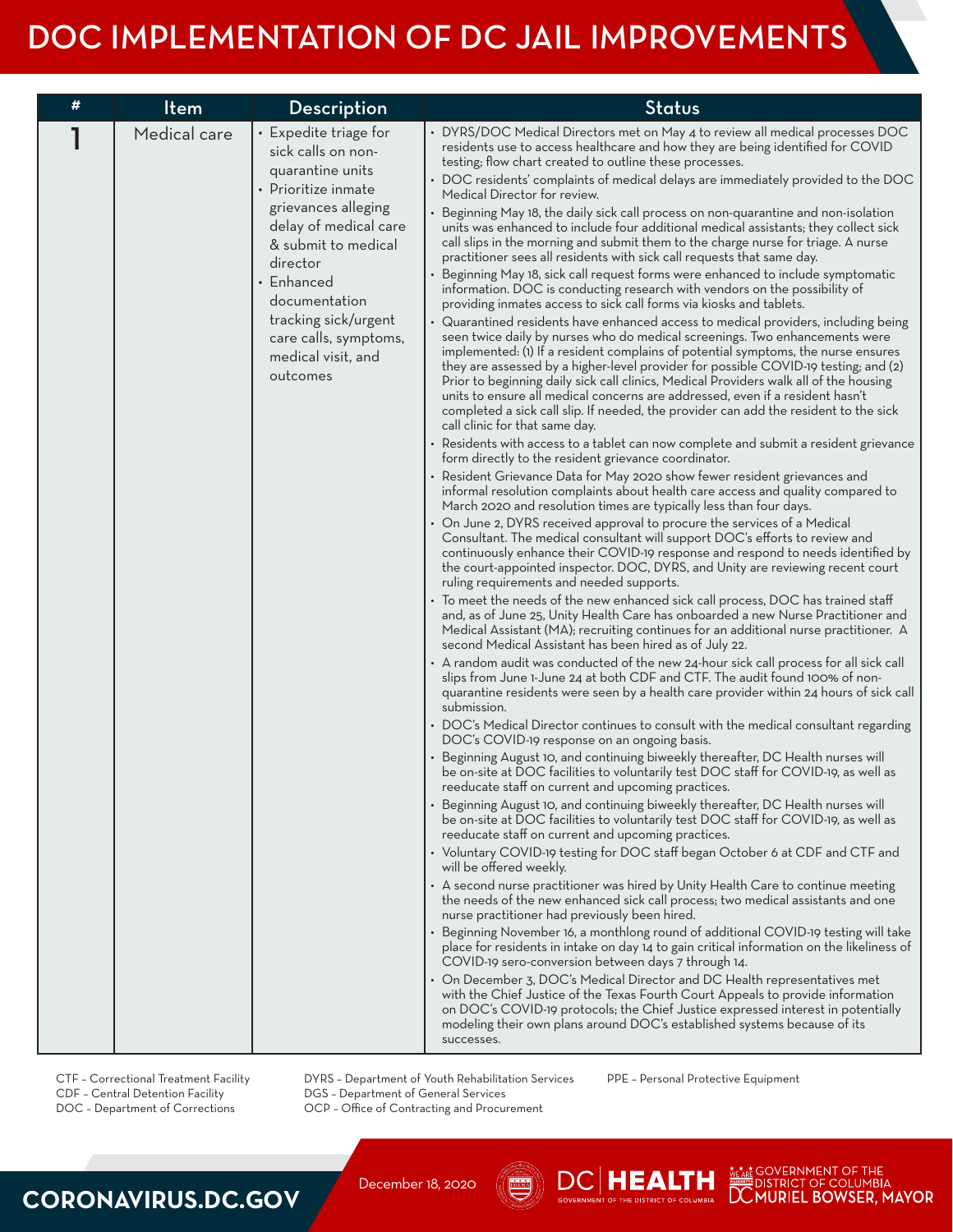| # | Item         | Description                                                                                                                                                                                                                                                                                 | <b>Status</b>                                                                                                                                                                                                                                                                                                                                                                                                                                                                                                                                                                                                                                                                                                                                                                                                                                                                                                                                                                                                                                                                                                                                                                                                                                                                                                                                                                                                                                                                                                                                                                                                                                                                                                                                                                                                                                                                                                                                                                                                                                                                                                                                                                                                                                                                                                                                                                                                                                                                                                                                                                                                                                                                                                                                                                                                                                                                                                                                                                                                                                                                                                                                                                                                                                                                                                                                                                                                                                                                                                                                                                                                                                                                                                                                                                                                                                                                                                                                                                                                                                                                                                                                                                                                                                                                                                                                                                                                                                                                                                |
|---|--------------|---------------------------------------------------------------------------------------------------------------------------------------------------------------------------------------------------------------------------------------------------------------------------------------------|--------------------------------------------------------------------------------------------------------------------------------------------------------------------------------------------------------------------------------------------------------------------------------------------------------------------------------------------------------------------------------------------------------------------------------------------------------------------------------------------------------------------------------------------------------------------------------------------------------------------------------------------------------------------------------------------------------------------------------------------------------------------------------------------------------------------------------------------------------------------------------------------------------------------------------------------------------------------------------------------------------------------------------------------------------------------------------------------------------------------------------------------------------------------------------------------------------------------------------------------------------------------------------------------------------------------------------------------------------------------------------------------------------------------------------------------------------------------------------------------------------------------------------------------------------------------------------------------------------------------------------------------------------------------------------------------------------------------------------------------------------------------------------------------------------------------------------------------------------------------------------------------------------------------------------------------------------------------------------------------------------------------------------------------------------------------------------------------------------------------------------------------------------------------------------------------------------------------------------------------------------------------------------------------------------------------------------------------------------------------------------------------------------------------------------------------------------------------------------------------------------------------------------------------------------------------------------------------------------------------------------------------------------------------------------------------------------------------------------------------------------------------------------------------------------------------------------------------------------------------------------------------------------------------------------------------------------------------------------------------------------------------------------------------------------------------------------------------------------------------------------------------------------------------------------------------------------------------------------------------------------------------------------------------------------------------------------------------------------------------------------------------------------------------------------------------------------------------------------------------------------------------------------------------------------------------------------------------------------------------------------------------------------------------------------------------------------------------------------------------------------------------------------------------------------------------------------------------------------------------------------------------------------------------------------------------------------------------------------------------------------------------------------------------------------------------------------------------------------------------------------------------------------------------------------------------------------------------------------------------------------------------------------------------------------------------------------------------------------------------------------------------------------------------------------------------------------------------------------------------------------------|
|   | Medical care | • Expedite triage for<br>sick calls on non-<br>quarantine units<br>• Prioritize inmate<br>grievances alleging<br>delay of medical care<br>& submit to medical<br>director<br>• Enhanced<br>documentation<br>tracking sick/urgent<br>care calls, symptoms,<br>medical visit, and<br>outcomes | • DYRS/DOC Medical Directors met on May 4 to review all medical processes DOC<br>residents use to access healthcare and how they are being identified for COVID<br>testing; flow chart created to outline these processes.<br>• DOC residents' complaints of medical delays are immediately provided to the DOC<br>Medical Director for review.<br>• Beginning May 18, the daily sick call process on non-quarantine and non-isolation<br>units was enhanced to include four additional medical assistants; they collect sick<br>call slips in the morning and submit them to the charge nurse for triage. A nurse<br>practitioner sees all residents with sick call requests that same day.<br>• Beginning May 18, sick call request forms were enhanced to include symptomatic<br>information. DOC is conducting research with vendors on the possibility of<br>providing inmates access to sick call forms via kiosks and tablets.<br>• Quarantined residents have enhanced access to medical providers, including being<br>seen twice daily by nurses who do medical screenings. Two enhancements were<br>implemented: (1) If a resident complains of potential symptoms, the nurse ensures<br>they are assessed by a higher-level provider for possible COVID-19 testing; and (2)<br>Prior to beginning daily sick call clinics, Medical Providers walk all of the housing<br>units to ensure all medical concerns are addressed, even if a resident hasn't<br>completed a sick call slip. If needed, the provider can add the resident to the sick<br>call clinic for that same day.<br>• Residents with access to a tablet can now complete and submit a resident grievance<br>form directly to the resident grievance coordinator.<br>• Resident Grievance Data for May 2020 show fewer resident grievances and<br>informal resolution complaints about health care access and quality compared to<br>March 2020 and resolution times are typically less than four days.<br>• On June 2, DYRS received approval to procure the services of a Medical<br>Consultant. The medical consultant will support DOC's efforts to review and<br>continuously enhance their COVID-19 response and respond to needs identified by<br>the court-appointed inspector. DOC, DYRS, and Unity are reviewing recent court<br>ruling requirements and needed supports.<br>• To meet the needs of the new enhanced sick call process, DOC has trained staff<br>and, as of June 25, Unity Health Care has onboarded a new Nurse Practitioner and<br>Medical Assistant (MA); recruiting continues for an additional nurse practitioner. A<br>second Medical Assistant has been hired as of July 22.<br>• A random audit was conducted of the new 24-hour sick call process for all sick call<br>slips from June 1-June 24 at both CDF and CTF. The audit found 100% of non-<br>quarantine residents were seen by a health care provider within 24 hours of sick call<br>submission.<br>• DOC's Medical Director continues to consult with the medical consultant regarding<br>DOC's COVID-19 response on an ongoing basis.<br>• Beginning August 10, and continuing biweekly thereafter, DC Health nurses will<br>be on-site at DOC facilities to voluntarily test DOC staff for COVID-19, as well as<br>reeducate staff on current and upcoming practices.<br>• Beginning August 10, and continuing biweekly thereafter, DC Health nurses will<br>be on-site at DOC facilities to voluntarily test DOC staff for COVID-19, as well as<br>reeducate staff on current and upcoming practices.<br>• Voluntary COVID-19 testing for DOC staff began October 6 at CDF and CTF and<br>will be offered weekly.<br>• A second nurse practitioner was hired by Unity Health Care to continue meeting<br>the needs of the new enhanced sick call process; two medical assistants and one<br>nurse practitioner had previously been hired.<br>• Beginning November 16, a monthlong round of additional COVID-19 testing will take<br>place for residents in intake on day 14 to gain critical information on the likeliness of<br>COVID-19 sero-conversion between days 7 through 14.<br>• On December 3, DOC's Medical Director and DC Health representatives met<br>with the Chief Justice of the Texas Fourth Court Appeals to provide information<br>on DOC's COVID-19 protocols; the Chief Justice expressed interest in potentially<br>modeling their own plans around DOC's established systems because of its<br>successes. |

CTF – Correctional Treatment Facility CDF – Central Detention Facility DOC – Department of Corrections

DYRS – Department of Youth Rehabilitation Services DGS – Department of General Services OCP – Office of Contracting and Procurement

PPE – Personal Protective Equipment

НЕАН

We ARE GOVERNMENT OF THE WEARE OUTRIES AND THE MOTOR DISTRICT OF COLUMBIA

### **CORONAVIRUS.DC.GOV**

December 18, 2020

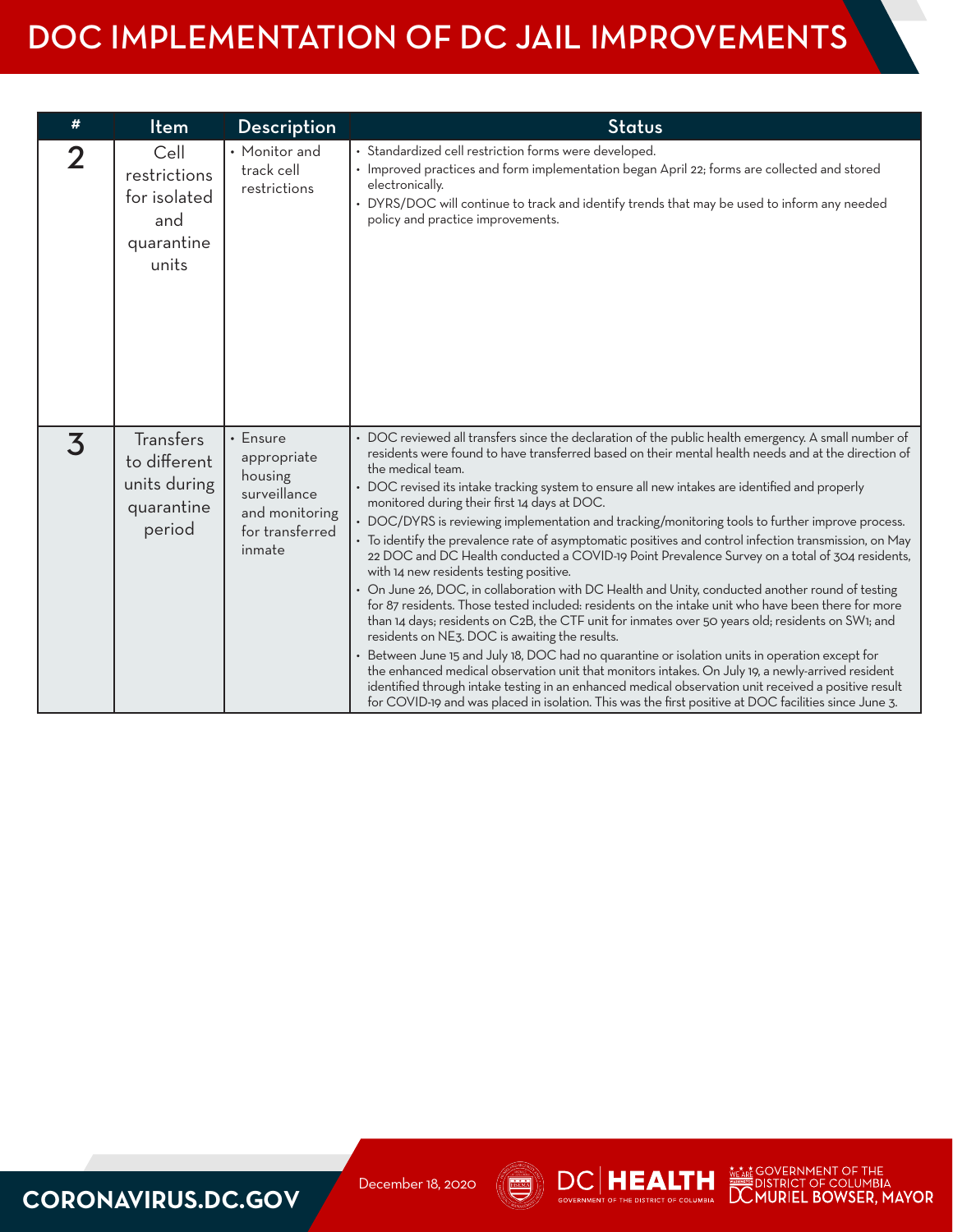| #                       | Item                                                                     | Description                                                                                             | <b>Status</b>                                                                                                                                                                                                                                                                                                                                                                                                                                                                                                                                                                                                                                                                                                                                                                                                                                                                                                                                                                                                                                                                                                                                                                                                                                                                                                                                                                                                                                                                                                                         |
|-------------------------|--------------------------------------------------------------------------|---------------------------------------------------------------------------------------------------------|---------------------------------------------------------------------------------------------------------------------------------------------------------------------------------------------------------------------------------------------------------------------------------------------------------------------------------------------------------------------------------------------------------------------------------------------------------------------------------------------------------------------------------------------------------------------------------------------------------------------------------------------------------------------------------------------------------------------------------------------------------------------------------------------------------------------------------------------------------------------------------------------------------------------------------------------------------------------------------------------------------------------------------------------------------------------------------------------------------------------------------------------------------------------------------------------------------------------------------------------------------------------------------------------------------------------------------------------------------------------------------------------------------------------------------------------------------------------------------------------------------------------------------------|
| $\mathbf 2$             | Cell<br>restrictions<br>for isolated<br>and<br>quarantine<br>units       | • Monitor and<br>track cell<br>restrictions                                                             | · Standardized cell restriction forms were developed.<br>• Improved practices and form implementation began April 22; forms are collected and stored<br>electronically.<br>• DYRS/DOC will continue to track and identify trends that may be used to inform any needed<br>policy and practice improvements.                                                                                                                                                                                                                                                                                                                                                                                                                                                                                                                                                                                                                                                                                                                                                                                                                                                                                                                                                                                                                                                                                                                                                                                                                           |
| $\overline{\mathbf{3}}$ | <b>Transfers</b><br>to different<br>units during<br>quarantine<br>period | $\cdot$ Ensure<br>appropriate<br>housing<br>surveillance<br>and monitoring<br>for transferred<br>inmate | • DOC reviewed all transfers since the declaration of the public health emergency. A small number of<br>residents were found to have transferred based on their mental health needs and at the direction of<br>the medical team.<br>• DOC revised its intake tracking system to ensure all new intakes are identified and properly<br>monitored during their first 14 days at DOC.<br>• DOC/DYRS is reviewing implementation and tracking/monitoring tools to further improve process.<br>• To identify the prevalence rate of asymptomatic positives and control infection transmission, on May<br>22 DOC and DC Health conducted a COVID-19 Point Prevalence Survey on a total of 304 residents,<br>with 14 new residents testing positive.<br>• On June 26, DOC, in collaboration with DC Health and Unity, conducted another round of testing<br>for 87 residents. Those tested included: residents on the intake unit who have been there for more<br>than 14 days; residents on C2B, the CTF unit for inmates over 50 years old; residents on SW1; and<br>residents on NE3. DOC is awaiting the results.<br>Between June 15 and July 18, DOC had no quarantine or isolation units in operation except for<br>the enhanced medical observation unit that monitors intakes. On July 19, a newly-arrived resident<br>identified through intake testing in an enhanced medical observation unit received a positive result<br>for COVID-19 and was placed in isolation. This was the first positive at DOC facilities since June 3. |

#### **CORONAVIRUS.DC.GOV**





WEARE GOVERNMENT OF THE<br>DISTRICT OF COLUMBIA<br>DOMURIEL BOWSER, MAYOR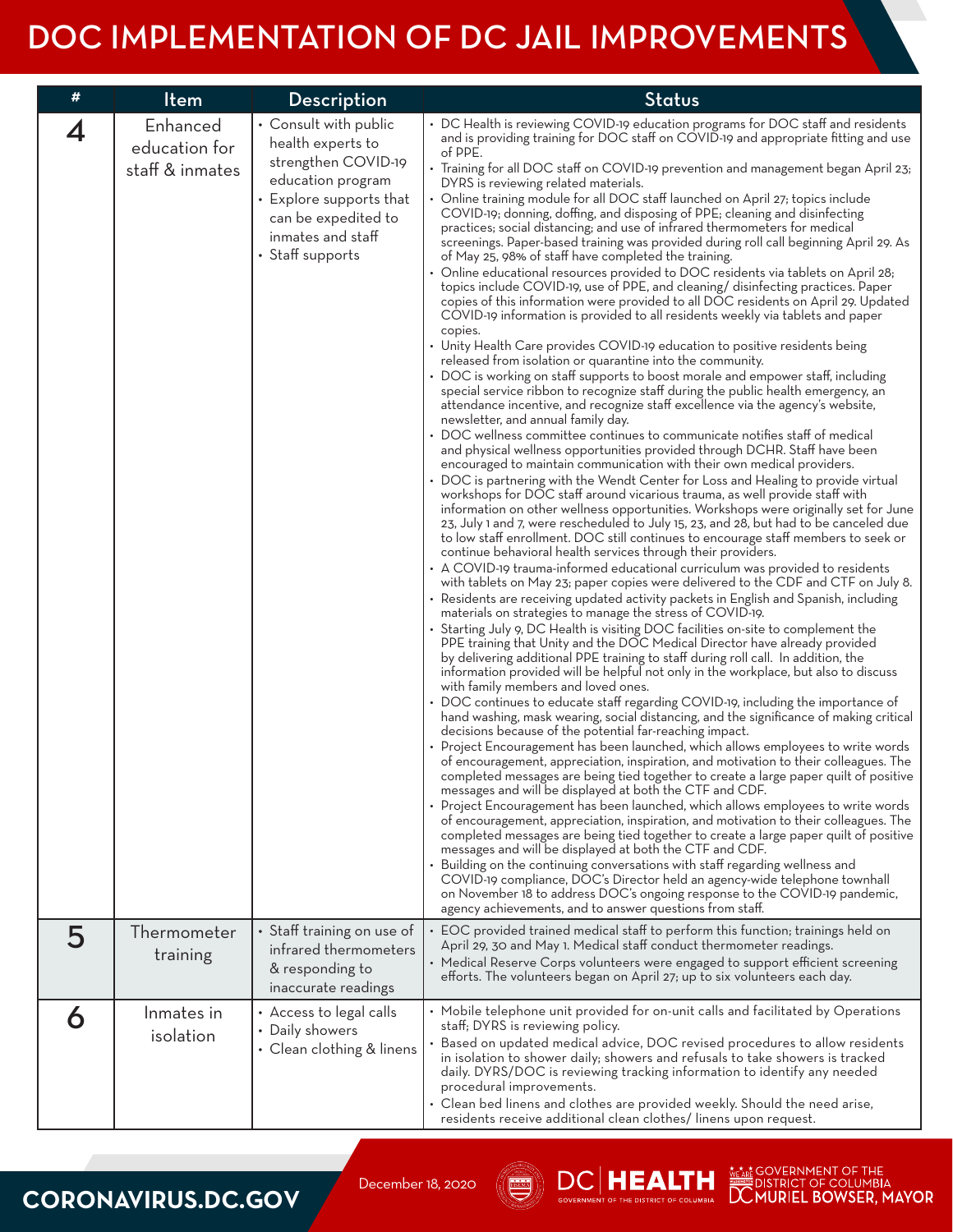| # | Item                                         | <b>Description</b>                                                                                                                                                                | Status                                                                                                                                                                                                                                                                                                                                                                                                                                                                                                                                                                                                                                                                                                                                                                                                                                                                                                                                                                                                                                                                                                                                                                                                                                                                                                                                                                                                                                                                                                                                                                                                                                                                                                                                                                                                                                                                                                                                                                                                                                                                                                                                                                                                                                                                                                                                                                                                                                                                                                                                                                                                                                                                                                                                                                                                                                                                                                                                                                                                                                                                                                                                                                                                                                                                                                                                                                                                                                                                                                                                                                                                                                                                                                                                                                                                                                                                                                                                                                                                                                                                                                                                                                                        |
|---|----------------------------------------------|-----------------------------------------------------------------------------------------------------------------------------------------------------------------------------------|-----------------------------------------------------------------------------------------------------------------------------------------------------------------------------------------------------------------------------------------------------------------------------------------------------------------------------------------------------------------------------------------------------------------------------------------------------------------------------------------------------------------------------------------------------------------------------------------------------------------------------------------------------------------------------------------------------------------------------------------------------------------------------------------------------------------------------------------------------------------------------------------------------------------------------------------------------------------------------------------------------------------------------------------------------------------------------------------------------------------------------------------------------------------------------------------------------------------------------------------------------------------------------------------------------------------------------------------------------------------------------------------------------------------------------------------------------------------------------------------------------------------------------------------------------------------------------------------------------------------------------------------------------------------------------------------------------------------------------------------------------------------------------------------------------------------------------------------------------------------------------------------------------------------------------------------------------------------------------------------------------------------------------------------------------------------------------------------------------------------------------------------------------------------------------------------------------------------------------------------------------------------------------------------------------------------------------------------------------------------------------------------------------------------------------------------------------------------------------------------------------------------------------------------------------------------------------------------------------------------------------------------------------------------------------------------------------------------------------------------------------------------------------------------------------------------------------------------------------------------------------------------------------------------------------------------------------------------------------------------------------------------------------------------------------------------------------------------------------------------------------------------------------------------------------------------------------------------------------------------------------------------------------------------------------------------------------------------------------------------------------------------------------------------------------------------------------------------------------------------------------------------------------------------------------------------------------------------------------------------------------------------------------------------------------------------------------------------------------------------------------------------------------------------------------------------------------------------------------------------------------------------------------------------------------------------------------------------------------------------------------------------------------------------------------------------------------------------------------------------------------------------------------------------------------------------------|
| 4 | Enhanced<br>education for<br>staff & inmates | • Consult with public<br>health experts to<br>strengthen COVID-19<br>education program<br>• Explore supports that<br>can be expedited to<br>inmates and staff<br>• Staff supports | • DC Health is reviewing COVID-19 education programs for DOC staff and residents<br>and is providing training for DOC staff on COVID-19 and appropriate fitting and use<br>of PPE.<br>• Training for all DOC staff on COVID-19 prevention and management began April 23;<br>DYRS is reviewing related materials.<br>Online training module for all DOC staff launched on April 27; topics include<br>COVID-19; donning, doffing, and disposing of PPE; cleaning and disinfecting<br>practices; social distancing; and use of infrared thermometers for medical<br>screenings. Paper-based training was provided during roll call beginning April 29. As<br>of May 25, 98% of staff have completed the training.<br>• Online educational resources provided to DOC residents via tablets on April 28;<br>topics include COVID-19, use of PPE, and cleaning/ disinfecting practices. Paper<br>copies of this information were provided to all DOC residents on April 29. Updated<br>COVID-19 information is provided to all residents weekly via tablets and paper<br>copies.<br>• Unity Health Care provides COVID-19 education to positive residents being<br>released from isolation or quarantine into the community.<br>• DOC is working on staff supports to boost morale and empower staff, including<br>special service ribbon to recognize staff during the public health emergency, an<br>attendance incentive, and recognize staff excellence via the agency's website,<br>newsletter, and annual family day.<br>DOC wellness committee continues to communicate notifies staff of medical<br>and physical wellness opportunities provided through DCHR. Staff have been<br>encouraged to maintain communication with their own medical providers.<br>DOC is partnering with the Wendt Center for Loss and Healing to provide virtual<br>workshops for DOC staff around vicarious trauma, as well provide staff with<br>information on other wellness opportunities. Workshops were originally set for June<br>23, July 1 and 7, were rescheduled to July 15, 23, and 28, but had to be canceled due<br>to low staff enrollment. DOC still continues to encourage staff members to seek or<br>continue behavioral health services through their providers.<br>A COVID-19 trauma-informed educational curriculum was provided to residents<br>with tablets on May 23; paper copies were delivered to the CDF and CTF on July 8.<br>• Residents are receiving updated activity packets in English and Spanish, including<br>materials on strategies to manage the stress of COVID-19.<br>Starting July 9, DC Health is visiting DOC facilities on-site to complement the<br>PPE training that Unity and the DOC Medical Director have already provided<br>by delivering additional PPE training to staff during roll call. In addition, the<br>information provided will be helpful not only in the workplace, but also to discuss<br>with family members and loved ones.<br>• DOC continues to educate staff regarding COVID-19, including the importance of<br>hand washing, mask wearing, social distancing, and the significance of making critical<br>decisions because of the potential far-reaching impact.<br>• Project Encouragement has been launched, which allows employees to write words<br>of encouragement, appreciation, inspiration, and motivation to their colleagues. The<br>completed messages are being tied together to create a large paper quilt of positive<br>messages and will be displayed at both the CTF and CDF.<br>• Project Encouragement has been launched, which allows employees to write words<br>of encouragement, appreciation, inspiration, and motivation to their colleagues. The<br>completed messages are being tied together to create a large paper quilt of positive<br>messages and will be displayed at both the CTF and CDF.<br>Building on the continuing conversations with staff regarding wellness and<br>COVID-19 compliance, DOC's Director held an agency-wide telephone townhall<br>on November 18 to address DOC's ongoing response to the COVID-19 pandemic,<br>agency achievements, and to answer questions from staff. |
| 5 | Thermometer<br>training                      | • Staff training on use of<br>infrared thermometers<br>& responding to<br>inaccurate readings                                                                                     | EOC provided trained medical staff to perform this function; trainings held on<br>April 29, 30 and May 1. Medical staff conduct thermometer readings.<br>• Medical Reserve Corps volunteers were engaged to support efficient screening<br>efforts. The volunteers began on April 27; up to six volunteers each day.                                                                                                                                                                                                                                                                                                                                                                                                                                                                                                                                                                                                                                                                                                                                                                                                                                                                                                                                                                                                                                                                                                                                                                                                                                                                                                                                                                                                                                                                                                                                                                                                                                                                                                                                                                                                                                                                                                                                                                                                                                                                                                                                                                                                                                                                                                                                                                                                                                                                                                                                                                                                                                                                                                                                                                                                                                                                                                                                                                                                                                                                                                                                                                                                                                                                                                                                                                                                                                                                                                                                                                                                                                                                                                                                                                                                                                                                          |
| 6 | Inmates in<br>isolation                      | • Access to legal calls<br>• Daily showers<br>• Clean clothing & linens                                                                                                           | • Mobile telephone unit provided for on-unit calls and facilitated by Operations<br>staff; DYRS is reviewing policy.<br>Based on updated medical advice, DOC revised procedures to allow residents<br>in isolation to shower daily; showers and refusals to take showers is tracked<br>daily. DYRS/DOC is reviewing tracking information to identify any needed<br>procedural improvements.<br>• Clean bed linens and clothes are provided weekly. Should the need arise,<br>residents receive additional clean clothes/linens upon request.                                                                                                                                                                                                                                                                                                                                                                                                                                                                                                                                                                                                                                                                                                                                                                                                                                                                                                                                                                                                                                                                                                                                                                                                                                                                                                                                                                                                                                                                                                                                                                                                                                                                                                                                                                                                                                                                                                                                                                                                                                                                                                                                                                                                                                                                                                                                                                                                                                                                                                                                                                                                                                                                                                                                                                                                                                                                                                                                                                                                                                                                                                                                                                                                                                                                                                                                                                                                                                                                                                                                                                                                                                                  |

#### **CORONAVIRUS.DC.GOV**

December 18, 2020



We ARE GOVERNMENT OF THE WEARE OUTRING THE MURIEL BOWSER, MAYOR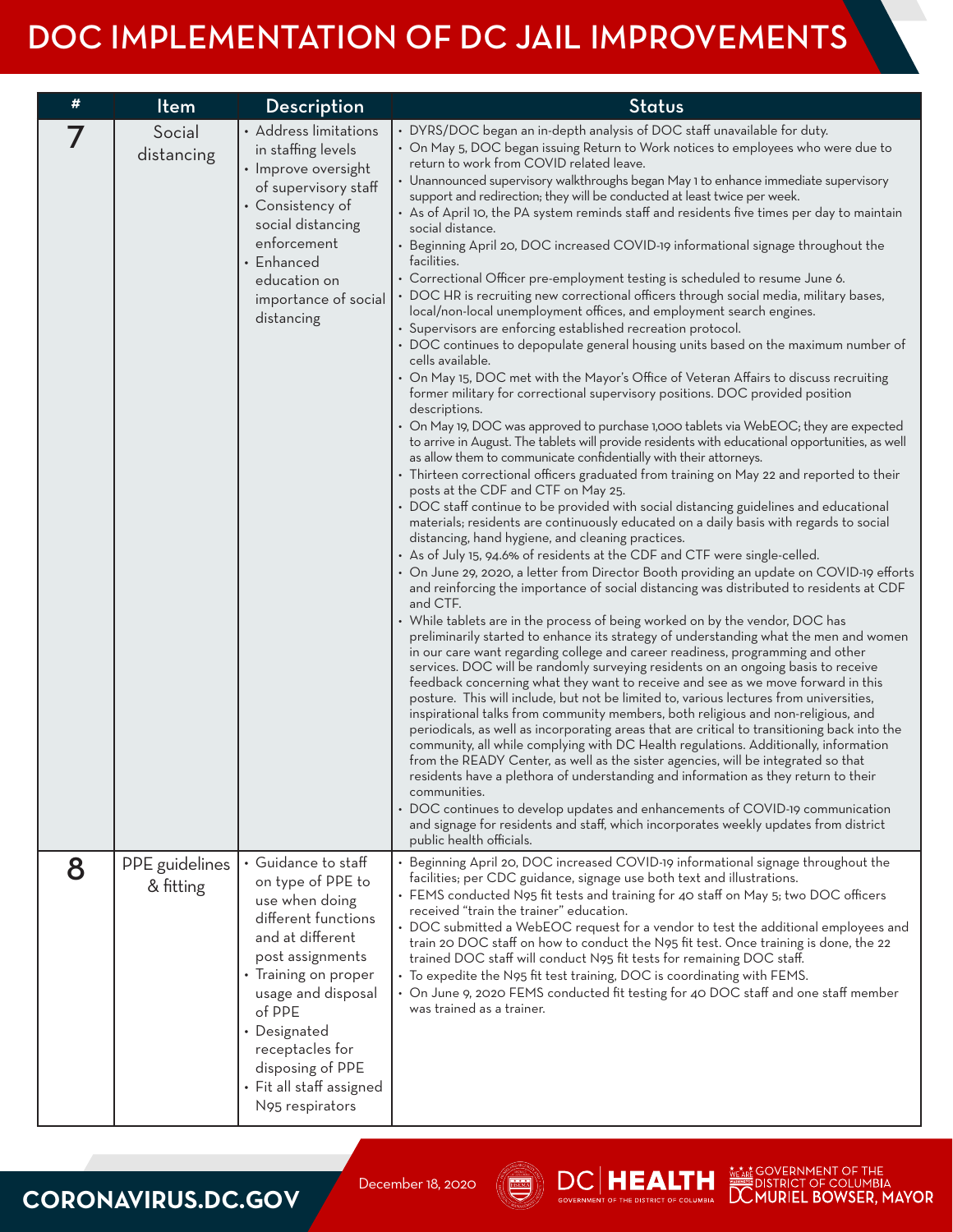| # | Item                        | Description                                                                                                                                                                                                                                                                             | <b>Status</b>                                                                                                                                                                                                                                                                                                                                                                                                                                                                                                                                                                                                                                                                                                                                                                                                                                                                                                                                                                                                                                                                                                                                                                                                                                                                                                                                                                                                                                                                                                                                                                                                                                                                                                                                                                                                                                                                                                                                                                                                                                                                                                                                                                                                                                                                                                                                                                                                                                                                                                                                                                                                                                                                                                                                                                                                                                                                                                                                                                                                                                                                                                                                                                                                                                                                                                                                                   |
|---|-----------------------------|-----------------------------------------------------------------------------------------------------------------------------------------------------------------------------------------------------------------------------------------------------------------------------------------|-----------------------------------------------------------------------------------------------------------------------------------------------------------------------------------------------------------------------------------------------------------------------------------------------------------------------------------------------------------------------------------------------------------------------------------------------------------------------------------------------------------------------------------------------------------------------------------------------------------------------------------------------------------------------------------------------------------------------------------------------------------------------------------------------------------------------------------------------------------------------------------------------------------------------------------------------------------------------------------------------------------------------------------------------------------------------------------------------------------------------------------------------------------------------------------------------------------------------------------------------------------------------------------------------------------------------------------------------------------------------------------------------------------------------------------------------------------------------------------------------------------------------------------------------------------------------------------------------------------------------------------------------------------------------------------------------------------------------------------------------------------------------------------------------------------------------------------------------------------------------------------------------------------------------------------------------------------------------------------------------------------------------------------------------------------------------------------------------------------------------------------------------------------------------------------------------------------------------------------------------------------------------------------------------------------------------------------------------------------------------------------------------------------------------------------------------------------------------------------------------------------------------------------------------------------------------------------------------------------------------------------------------------------------------------------------------------------------------------------------------------------------------------------------------------------------------------------------------------------------------------------------------------------------------------------------------------------------------------------------------------------------------------------------------------------------------------------------------------------------------------------------------------------------------------------------------------------------------------------------------------------------------------------------------------------------------------------------------------------------|
|   | Social<br>distancing        | • Address limitations<br>in staffing levels<br>· Improve oversight<br>of supervisory staff<br>• Consistency of<br>social distancing<br>enforcement<br>• Enhanced<br>education on<br>importance of social<br>distancing                                                                  | • DYRS/DOC began an in-depth analysis of DOC staff unavailable for duty.<br>• On May 5, DOC began issuing Return to Work notices to employees who were due to<br>return to work from COVID related leave.<br>• Unannounced supervisory walkthroughs began May 1 to enhance immediate supervisory<br>support and redirection; they will be conducted at least twice per week.<br>• As of April 10, the PA system reminds staff and residents five times per day to maintain<br>social distance.<br>• Beginning April 20, DOC increased COVID-19 informational signage throughout the<br>facilities.<br>• Correctional Officer pre-employment testing is scheduled to resume June 6.<br>• DOC HR is recruiting new correctional officers through social media, military bases,<br>local/non-local unemployment offices, and employment search engines.<br>• Supervisors are enforcing established recreation protocol.<br>• DOC continues to depopulate general housing units based on the maximum number of<br>cells available.<br>• On May 15, DOC met with the Mayor's Office of Veteran Affairs to discuss recruiting<br>former military for correctional supervisory positions. DOC provided position<br>descriptions.<br>• On May 19, DOC was approved to purchase 1,000 tablets via WebEOC; they are expected<br>to arrive in August. The tablets will provide residents with educational opportunities, as well<br>as allow them to communicate confidentially with their attorneys.<br>• Thirteen correctional officers graduated from training on May 22 and reported to their<br>posts at the CDF and CTF on May 25.<br>• DOC staff continue to be provided with social distancing guidelines and educational<br>materials; residents are continuously educated on a daily basis with regards to social<br>distancing, hand hygiene, and cleaning practices.<br>• As of July 15, 94.6% of residents at the CDF and CTF were single-celled.<br>• On June 29, 2020, a letter from Director Booth providing an update on COVID-19 efforts<br>and reinforcing the importance of social distancing was distributed to residents at CDF<br>and CTF.<br>• While tablets are in the process of being worked on by the vendor, DOC has<br>preliminarily started to enhance its strategy of understanding what the men and women<br>in our care want regarding college and career readiness, programming and other<br>services. DOC will be randomly surveying residents on an ongoing basis to receive<br>feedback concerning what they want to receive and see as we move forward in this<br>posture. This will include, but not be limited to, various lectures from universities,<br>inspirational talks from community members, both religious and non-religious, and<br>periodicals, as well as incorporating areas that are critical to transitioning back into the<br>community, all while complying with DC Health regulations. Additionally, information<br>from the READY Center, as well as the sister agencies, will be integrated so that<br>residents have a plethora of understanding and information as they return to their<br>communities.<br>DOC continues to develop updates and enhancements of COVID-19 communication<br>and signage for residents and staff, which incorporates weekly updates from district<br>public health officials. |
| 8 | PPE guidelines<br>& fitting | • Guidance to staff<br>on type of PPE to<br>use when doing<br>different functions<br>and at different<br>post assignments<br>• Training on proper<br>usage and disposal<br>of PPE<br>• Designated<br>receptacles for<br>disposing of PPE<br>• Fit all staff assigned<br>N95 respirators | Beginning April 20, DOC increased COVID-19 informational signage throughout the<br>facilities; per CDC guidance, signage use both text and illustrations.<br>• FEMS conducted N95 fit tests and training for 40 staff on May 5; two DOC officers<br>received "train the trainer" education.<br>• DOC submitted a WebEOC request for a vendor to test the additional employees and<br>train 20 DOC staff on how to conduct the N95 fit test. Once training is done, the 22<br>trained DOC staff will conduct N95 fit tests for remaining DOC staff.<br>• To expedite the N95 fit test training, DOC is coordinating with FEMS.<br>• On June 9, 2020 FEMS conducted fit testing for 40 DOC staff and one staff member<br>was trained as a trainer.                                                                                                                                                                                                                                                                                                                                                                                                                                                                                                                                                                                                                                                                                                                                                                                                                                                                                                                                                                                                                                                                                                                                                                                                                                                                                                                                                                                                                                                                                                                                                                                                                                                                                                                                                                                                                                                                                                                                                                                                                                                                                                                                                                                                                                                                                                                                                                                                                                                                                                                                                                                                                |

### **CORONAVIRUS.DC.GOV**

December 18, 2020



 $\left. \bm{\mathsf{DC}}\right| \bm{\mathsf{H}} \bm{\mathsf{E}} \bm{\mathsf{A}} \bm{\mathsf{L}} \bm{\mathsf{T}} \bm{\mathsf{H}}$ 

WEARE GOVERNMENT OF THE WEARE OUTRING THE MOVER PRODUCED DOWNLINE DURING THE DURING THE MAY OR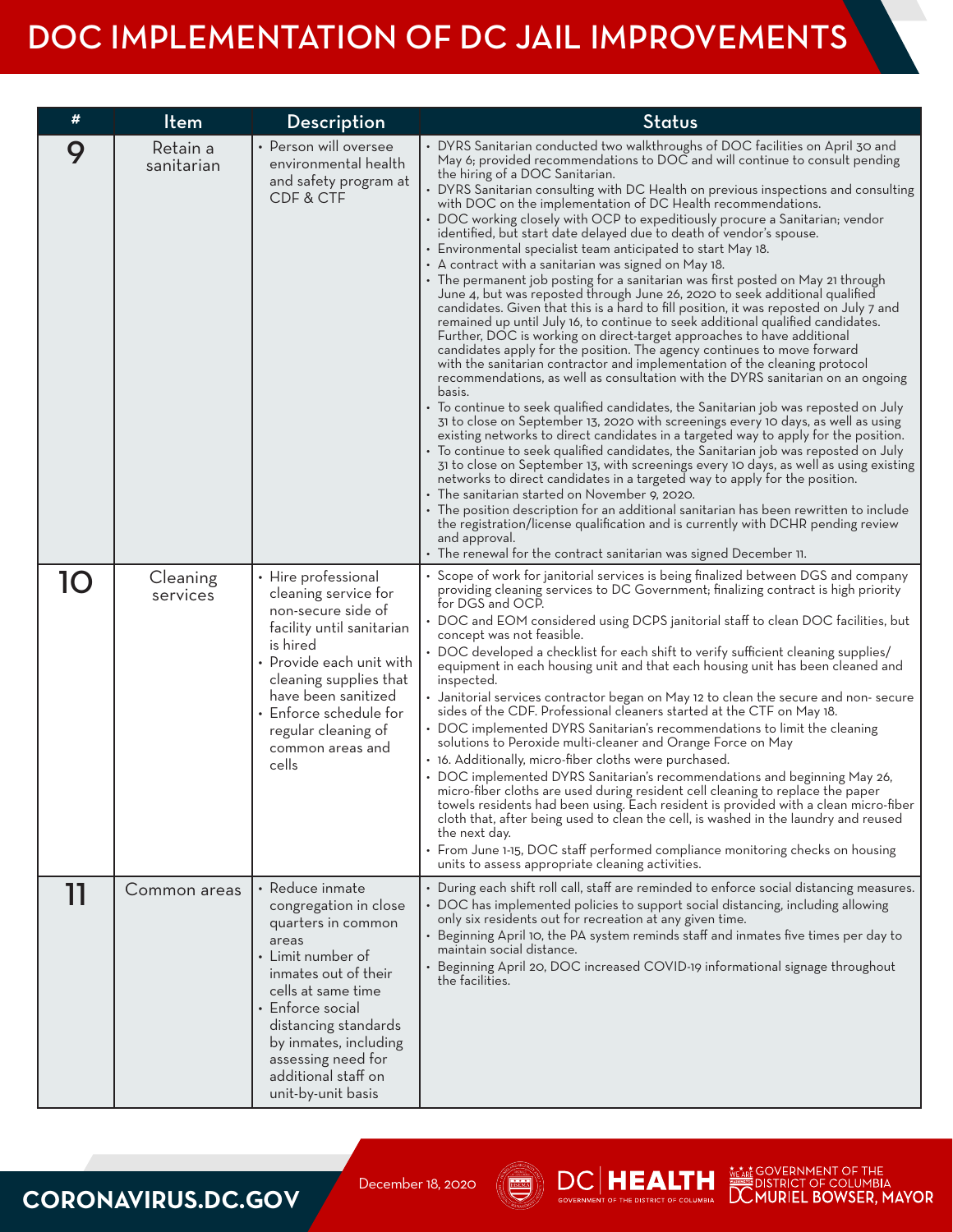| #  | Item                   | <b>Description</b>                                                                                                                                                                                                                                                                 | <b>Status</b>                                                                                                                                                                                                                                                                                                                                                                                                                                                                                                                                                                                                                                                                                                                                                                                                                                                                                                                                                                                                                                                                                                                                                                                                                                                                                                                                                                                                                                                                                                                                                                                                                                                                                                                                                                                                                                                                                                                                                                                                                                                                                                                                                                     |
|----|------------------------|------------------------------------------------------------------------------------------------------------------------------------------------------------------------------------------------------------------------------------------------------------------------------------|-----------------------------------------------------------------------------------------------------------------------------------------------------------------------------------------------------------------------------------------------------------------------------------------------------------------------------------------------------------------------------------------------------------------------------------------------------------------------------------------------------------------------------------------------------------------------------------------------------------------------------------------------------------------------------------------------------------------------------------------------------------------------------------------------------------------------------------------------------------------------------------------------------------------------------------------------------------------------------------------------------------------------------------------------------------------------------------------------------------------------------------------------------------------------------------------------------------------------------------------------------------------------------------------------------------------------------------------------------------------------------------------------------------------------------------------------------------------------------------------------------------------------------------------------------------------------------------------------------------------------------------------------------------------------------------------------------------------------------------------------------------------------------------------------------------------------------------------------------------------------------------------------------------------------------------------------------------------------------------------------------------------------------------------------------------------------------------------------------------------------------------------------------------------------------------|
| 9  | Retain a<br>sanitarian | • Person will oversee<br>environmental health<br>and safety program at<br>CDF & CTF                                                                                                                                                                                                | • DYRS Sanitarian conducted two walkthroughs of DOC facilities on April 30 and<br>May 6; provided recommendations to DOC and will continue to consult pending<br>the hiring of a DOC Sanitarian.<br>DYRS Sanitarian consulting with DC Health on previous inspections and consulting<br>with DOC on the implementation of DC Health recommendations.<br>• DOC working closely with OCP to expeditiously procure a Sanitarian; vendor<br>identified, but start date delayed due to death of vendor's spouse.<br>• Environmental specialist team anticipated to start May 18.<br>• A contract with a sanitarian was signed on May 18.<br>• The permanent job posting for a sanitarian was first posted on May 21 through<br>June 4, but was reposted through June 26, 2020 to seek additional qualified<br>candidates. Given that this is a hard to fill position, it was reposted on July 7 and<br>remained up until July 16, to continue to seek additional qualified candidates.<br>Further, DOC is working on direct-target approaches to have additional<br>candidates apply for the position. The agency continues to move forward<br>with the sanitarian contractor and implementation of the cleaning protocol<br>recommendations, as well as consultation with the DYRS sanitarian on an ongoing<br>basis.<br>• To continue to seek qualified candidates, the Sanitarian job was reposted on July<br>31 to close on September 13, 2020 with screenings every 10 days, as well as using<br>existing networks to direct candidates in a targeted way to apply for the position.<br>• To continue to seek qualified candidates, the Sanitarian job was reposted on July<br>31 to close on September 13, with screenings every 10 days, as well as using existing<br>networks to direct candidates in a targeted way to apply for the position.<br>• The sanitarian started on November 9, 2020.<br>• The position description for an additional sanitarian has been rewritten to include<br>the registration/license qualification and is currently with DCHR pending review<br>and approval.<br>$\bm{\cdot}$ The renewal for the contract sanitarian was signed December 11. |
| 10 | Cleaning<br>services   | • Hire professional<br>cleaning service for<br>non-secure side of<br>facility until sanitarian<br>is hired<br>• Provide each unit with<br>cleaning supplies that<br>have been sanitized<br>• Enforce schedule for<br>regular cleaning of<br>common areas and<br>cells              | • Scope of work for janitorial services is being finalized between DGS and company<br>providing cleaning services to DC Government; finalizing contract is high priority<br>for DGS and OCP.<br>• DOC and EOM considered using DCPS janitorial staff to clean DOC facilities, but<br>concept was not teasible.<br>• DOC developed a checklist for each shift to verify sufficient cleaning supplies/<br>equipment in each housing unit and that each housing unit has been cleaned and<br>inspected.<br>• Janitorial services contractor began on May 12 to clean the secure and non-secure<br>sides of the CDF. Professional cleaners started at the CTF on May 18.<br>• DOC implemented DYRS Sanitarian's recommendations to limit the cleaning<br>solutions to Peroxide multi-cleaner and Orange Force on May<br>• 16. Additionally, micro-fiber cloths were purchased.<br>• DOC implemented DYRS Sanitarian's recommendations and beginning May 26,<br>micro-fiber cloths are used during resident cell cleaning to replace the paper<br>towels residents had been using. Each resident is provided with a clean micro-fiber<br>cloth that, after being used to clean the cell, is washed in the laundry and reused<br>the next day.<br>• From June 1-15, DOC staff performed compliance monitoring checks on housing<br>units to assess appropriate cleaning activities.                                                                                                                                                                                                                                                                                                                                                                                                                                                                                                                                                                                                                                                                                                                                                                                                     |
| 11 | Common areas           | • Reduce inmate<br>congregation in close<br>quarters in common<br>areas<br>• Limit number of<br>inmates out of their<br>cells at same time<br>• Enforce social<br>distancing standards<br>by inmates, including<br>assessing need for<br>additional staff on<br>unit-by-unit basis | • During each shift roll call, staff are reminded to enforce social distancing measures.<br>• DOC has implemented policies to support social distancing, including allowing<br>only six residents out for recreation at any given time.<br>Beginning April 10, the PA system reminds staff and inmates five times per day to<br>maintain social distance.<br>• Beginning April 20, DOC increased COVID-19 informational signage throughout<br>the facilities.                                                                                                                                                                                                                                                                                                                                                                                                                                                                                                                                                                                                                                                                                                                                                                                                                                                                                                                                                                                                                                                                                                                                                                                                                                                                                                                                                                                                                                                                                                                                                                                                                                                                                                                     |

#### **CORONAVIRUS.DC.GOV**

December 18, 2020



**DC HEALTH** 

WA GOVERNMENT OF THE WARE OUT OF THE WARD OF COLUMBIA